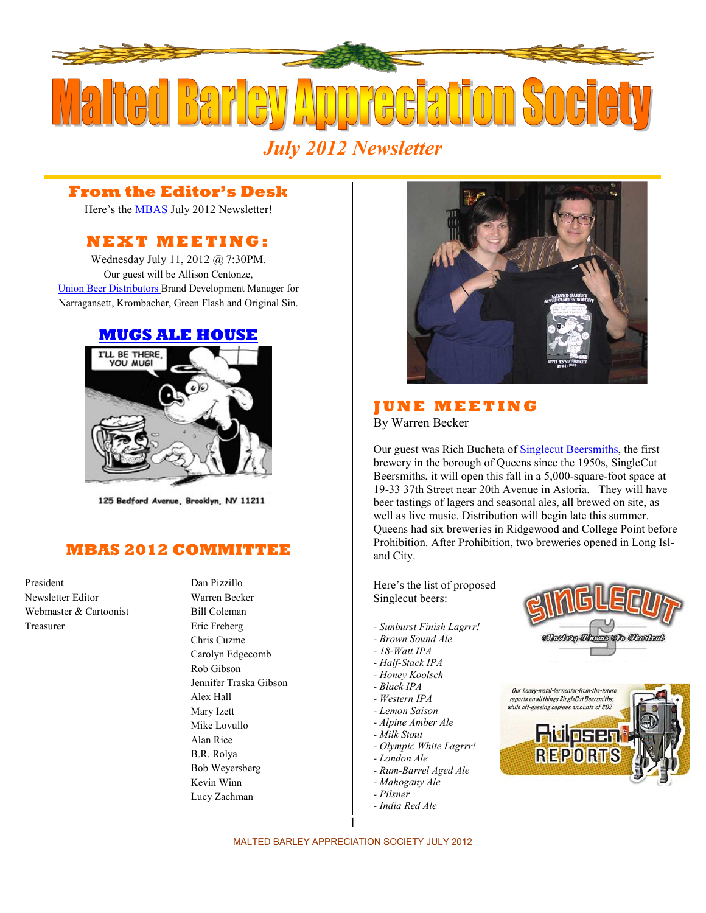

## **From the Editor's Desk**

Here's the [MBAS](http://hbd.org/mbas) July 2012 Newsletter!

# **N E X T M E E T I N G :**

Wednesday July 11, 2012 @ 7:30PM. Our guest will be Allison Centonze, [Union Beer Distributors](http://greatbrewers.com/union-beer-distributors) Brand Development Manager for Narragansett, Krombacher, Green Flash and Original Sin.

## **[MUGS ALE HOUSE](http://www.mugsalehouse.com/)**



125 Bedford Avenue, Brooklyn, NY 11211

# **MBAS 2012 COMMITTEE**

President Dan Pizzillo Newsletter Editor Warren Becker Webmaster & Cartoonist Bill Coleman Treasurer Eric Freberg

Chris Cuzme Carolyn Edgecomb Rob Gibson Jennifer Traska Gibson Alex Hall Mary Izett Mike Lovullo Alan Rice B.R. Rolya Bob Weyersberg Kevin Winn Lucy Zachman



### *IUNE MEETING* By Warren Becker

Our guest was Rich Bucheta of [Singlecut Beersmiths](http://www.singlecutbeer.com/), the first brewery in the borough of Queens since the 1950s, SingleCut Beersmiths, it will open this fall in a 5,000-square-foot space at 19-33 37th Street near 20th Avenue in Astoria. They will have beer tastings of lagers and seasonal ales, all brewed on site, as well as live music. Distribution will begin late this summer. Queens had six breweries in Ridgewood and College Point before Prohibition. After Prohibition, two breweries opened in Long Island City.

Here's the list of proposed Singlecut beers:

- *Sunburst Finish Lagrrr!*
- *Brown Sound Ale*
- *18-Watt IPA*
- *Half-Stack IPA*
- *Honey Koolsch*
- *Black IPA*
- *Western IPA*
- *Lemon Saison*
- *Alpine Amber Ale*
- *Milk Stout*
- *Olympic White Lagrrr!*
- *London Ale*
- *Rum-Barrel Aged Ale*
- *Mahogany Ale*
- *Pilsner*
- *India Red Ale*